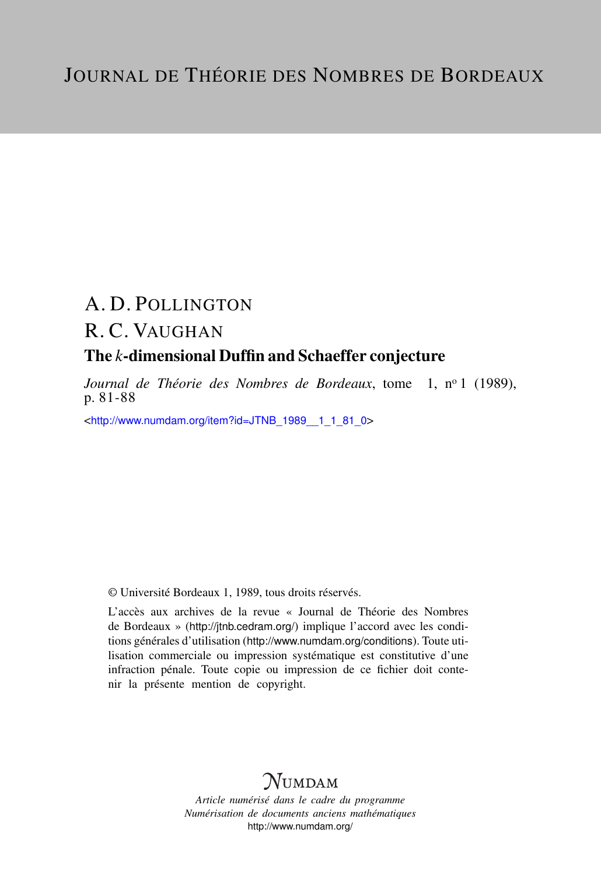# A. D. POLLINGTON

### R. C. VAUGHAN

#### The *k*-dimensional Duffin and Schaeffer conjecture

*Journal de Théorie des Nombres de Bordeaux*, tome 1, nº 1 (1989), p. 81-88

<[http://www.numdam.org/item?id=JTNB\\_1989\\_\\_1\\_1\\_81\\_0](http://www.numdam.org/item?id=JTNB_1989__1_1_81_0)>

© Université Bordeaux 1, 1989, tous droits réservés.

L'accès aux archives de la revue « Journal de Théorie des Nombres de Bordeaux » (<http://jtnb.cedram.org/>) implique l'accord avec les conditions générales d'utilisation (<http://www.numdam.org/conditions>). Toute utilisation commerciale ou impression systématique est constitutive d'une infraction pénale. Toute copie ou impression de ce fichier doit contenir la présente mention de copyright.

## **NUMDAM**

*Article numérisé dans le cadre du programme Numérisation de documents anciens mathématiques* <http://www.numdam.org/>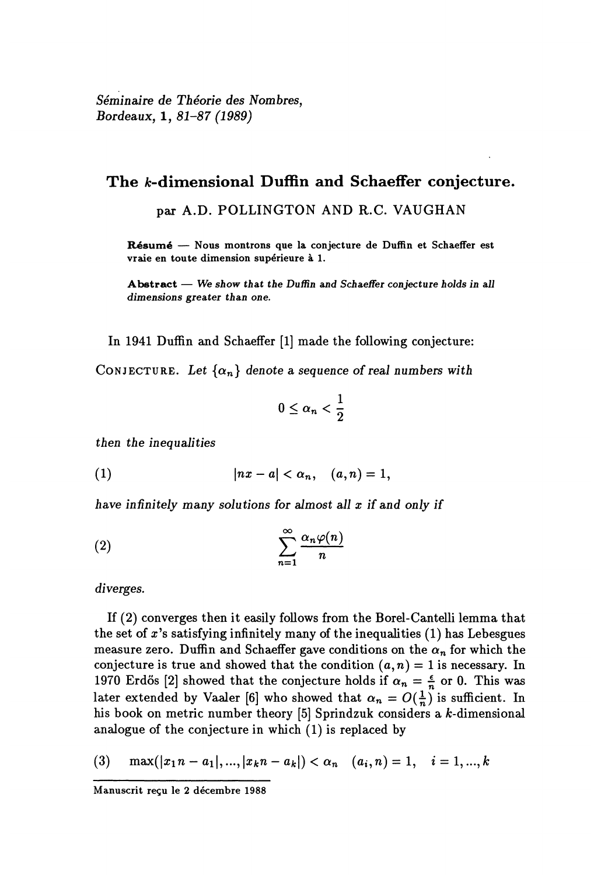Séminaire de Théorie des Nombres, Bordeaux, 1, 81-87 (1989)

#### The k-dimensional Duffin and Schaeffer conjecture.

par A.D. POLLINGTON AND R.C. VAUGHAN

Résumé - Nous montrons que la conjecture de Duffin et Schaeffer est vraie en toute dimension supérieure à 1.

Abstract  $-$  We show that the Duffin and Schaeffer conjecture holds in all dimensions greater than one.

In 1941 Duffin and Schaeffer [1] made the following conjecture:

CONJECTURE. Let  $\{\alpha_n\}$  denote a sequence of real numbers with

$$
0\leq \alpha_n<\frac{1}{2}
$$

then the inequalities

$$
(1) \qquad \qquad |nx-a|<\alpha_n,\quad (a,n)=1,
$$

have infinitely many solutions for almost all  $x$  if and only if

$$
(2) \qquad \qquad \sum_{n=1}^{\infty} \frac{\alpha_n \varphi(n)}{n}
$$

diverges.

If (2) converges then it easily follows from the Borel-Cantelli lemma that the set of  $x$ 's satisfying infinitely many of the inequalities  $(1)$  has Lebesgues measure zero. Duffin and Schaeffer gave conditions on the  $\alpha_n$  for which the conjecture is true and showed that the condition  $(a, n) = 1$  is necessary. In 1970 Erdős [2] showed that the conjecture holds if  $\alpha_n = \frac{\epsilon}{n}$  or 0. This was later extended by Vaaler [6] who showed that  $\alpha_n = O(\frac{1}{n})$  is sufficient. In his book on metric number theory [5] Sprindzuk considers a k-dimensional analogue of the conjecture in which (1) is replaced by

(3) 
$$
\max(|x_1n - a_1|, ..., |x_kn - a_k|) < \alpha_n
$$
  $(a_i, n) = 1, i = 1, ..., k$ 

Manuscrit reçu le 2 décembre 1988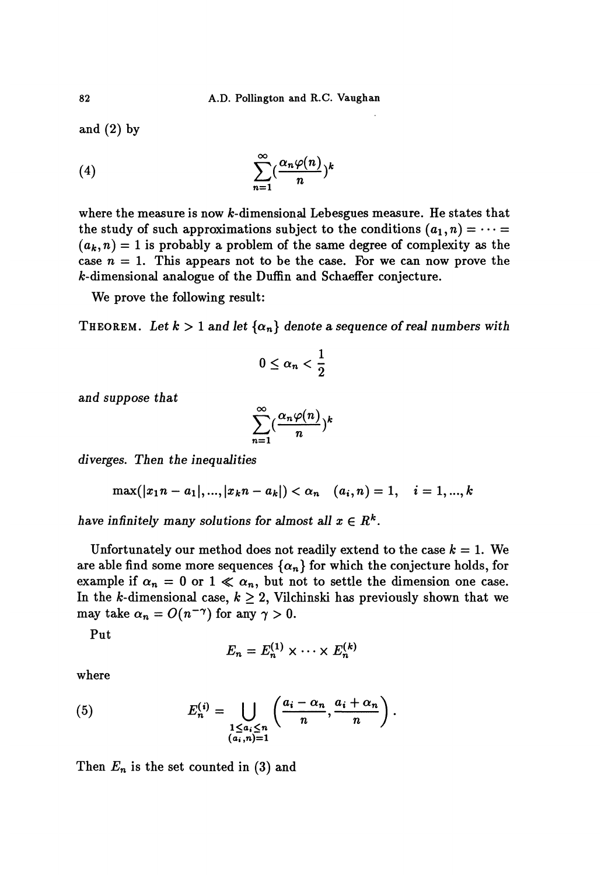and  $(2)$  by

(4) 
$$
\sum_{n=1}^{\infty} \left(\frac{\alpha_n \varphi(n)}{n}\right)^k
$$

where the measure is now k-dimensional Lebesgues measure. He states that the study of such approximations subject to the conditions  $(a_1, n) = \cdots =$  $(a_k, n) = 1$  is probably a problem of the same degree of complexity as the case  $n = 1$ . This appears not to be the case. For we can now prove the k-dimensional analogue of the Duflin and Schaeffer conjecture.

We prove the following result:

THEOREM. Let  $k > 1$  and let  $\{\alpha_n\}$  denote a sequence of real numbers with

$$
0\leq \alpha_n<\frac{1}{2}
$$

and suppose that

$$
\sum_{n=1}^{\infty} \left(\frac{\alpha_n \varphi(n)}{n}\right)^k
$$

diverges. Then the inequalities

$$
\max(|x_1n - a_1|, ..., |x_kn - a_k|) < \alpha_n \quad (a_i, n) = 1, \quad i = 1, ..., k
$$

have infinitely many solutions for almost all  $x \in R^k$ .

Unfortunately our method does not readily extend to the case  $k = 1$ . We are able find some more sequences  $\{\alpha_n\}$  for which the conjecture holds, for example if  $\alpha_n = 0$  or  $1 \ll \alpha_n$ , but not to settle the dimension one case. In the k-dimensional case,  $k \geq 2$ , Vilchinski has previously shown that we may take  $\alpha_n = O(n^{-\gamma})$  for any  $\gamma > 0$ .

Put

$$
E_n = E_n^{(1)} \times \cdots \times E_n^{(k)}
$$

where

(5) 
$$
E_n^{(i)} = \bigcup_{\substack{1 \leq a_i \leq n \\ (a_i, n) = 1}} \left( \frac{a_i - \alpha_n}{n}, \frac{a_i + \alpha_n}{n} \right).
$$

Then  $E_n$  is the set counted in (3) and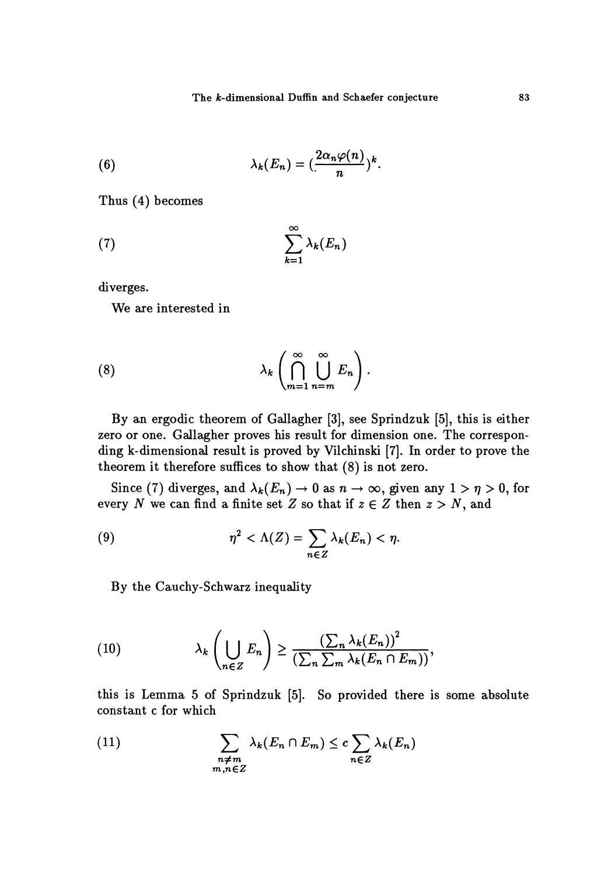(6) 
$$
\lambda_k(E_n) = \left(\frac{2\alpha_n\varphi(n)}{n}\right)^k.
$$

Thus (4) becomes

(7) 
$$
\sum_{k=1}^{\infty} \lambda_k(E_n)
$$

diverges.

We are interested in

(8) 
$$
\lambda_k \left( \bigcap_{m=1}^{\infty} \bigcup_{n=m}^{\infty} E_n \right).
$$

By an ergodic theorem of Gallagher [3], see Sprindzuk [5], this is either zero or one. Gallagher proves his result for dimension one. The corresponding k-dimensional result is proved by Vilchinski [7]. In order to prove the theorem it therefore suffices to show that (8) is not zero.

Since (7) diverges, and  $\lambda_k(E_n) \to 0$  as  $n \to \infty$ , given any  $1 > \eta > 0$ , for every N we can find a finite set Z so that if  $z \in Z$  then  $z > N$ , and

(9) 
$$
\eta^2 < \Lambda(Z) = \sum_{n \in Z} \lambda_k(E_n) < \eta.
$$

By the Cauchy-Schwarz inequality

(10) 
$$
\lambda_k \left( \bigcup_{n \in \mathbb{Z}} E_n \right) \geq \frac{\left( \sum_n \lambda_k(E_n) \right)^2}{\left( \sum_n \sum_m \lambda_k(E_n \cap E_m) \right)},
$$

this is Lemma 5 of Sprindzuk [5]. So provided there is some absolute constant c for which

(11) 
$$
\sum_{\substack{n \neq m \\ m, n \in \mathbb{Z}}} \lambda_k(E_n \cap E_m) \leq c \sum_{n \in \mathbb{Z}} \lambda_k(E_n)
$$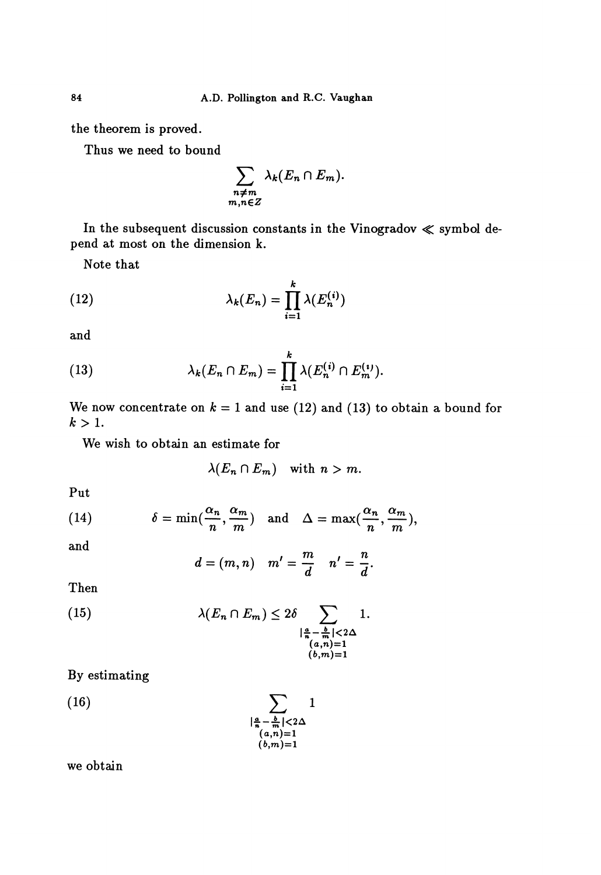the theorem is proved.

Thus we need to bound

$$
\sum_{\substack{n \neq m \\ m, n \in \mathbb{Z}}} \lambda_k(E_n \cap E_m).
$$

In the subsequent discussion constants in the Vinogradov  $\ll$  symbol depend at most on the dimension k.

 $\overline{a}$ 

Note that

(12) 
$$
\lambda_k(E_n) = \prod_{i=1}^k \lambda(E_n^{(i)})
$$

and

(13) 
$$
\lambda_k(E_n \cap E_m) = \prod_{i=1}^k \lambda(E_n^{(i)} \cap E_m^{(i)}).
$$

We now concentrate on  $k = 1$  and use (12) and (13) to obtain a bound for  $k>1$ .

We wish to obtain an estimate for

$$
\lambda(E_n \cap E_m) \quad \text{with } n > m.
$$

Put

(14) 
$$
\delta = \min(\frac{\alpha_n}{n}, \frac{\alpha_m}{m}) \text{ and } \Delta = \max(\frac{\alpha_n}{n}, \frac{\alpha_m}{m}),
$$

and

$$
d=(m,n) \quad m'=\frac{m}{d} \quad n'=\frac{n}{d}.
$$

Then

(15) 
$$
\lambda(E_n \cap E_m) \leq 2\delta \sum_{\substack{\left|\frac{a}{n} - \frac{b}{m}\right| < 2\Delta \\ (a,n)=1 \\ (b,m)=1}} 1.
$$

By estimating

(16) 
$$
\sum_{\substack{\left|\frac{a}{n}-\frac{b}{m}\right|<2\Delta\\(a,n)=1\\(b,m)=1}}1
$$

we obtain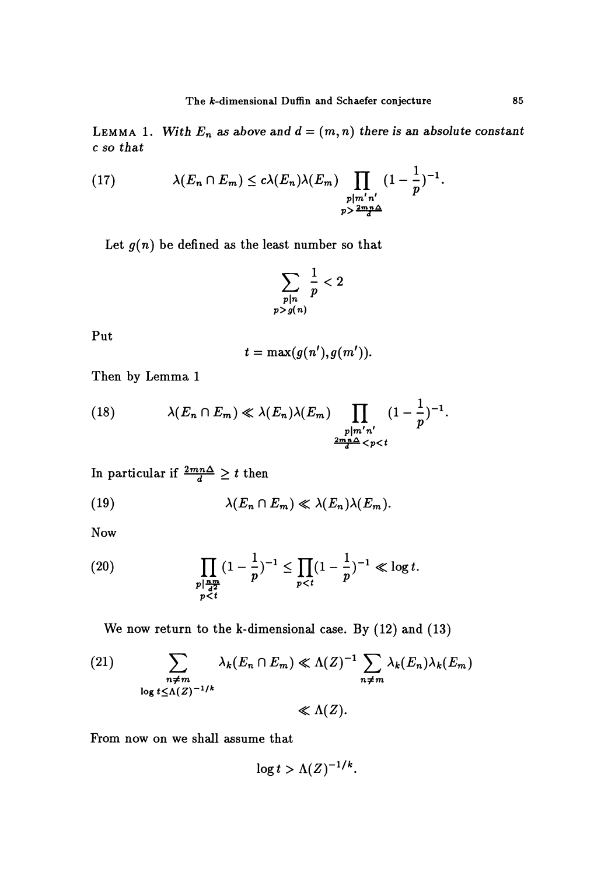LEMMA 1. With  $E_n$  as above and  $d = (m, n)$  there is an absolute constant c so that

(17) 
$$
\lambda(E_n \cap E_m) \le c\lambda(E_n)\lambda(E_m) \prod_{\substack{p|m'n' \\ p>2m\frac{n}{d}}} (1-\frac{1}{p})^{-1}.
$$

Let  $g(n)$  be defined as the least number so that

$$
\sum_{\substack{p|n\\p>g(n)}}\frac{1}{p}<2
$$

Put

$$
t = \max(g(n'),g(m')).
$$

Then by Lemma 1

(18) 
$$
\lambda(E_n \cap E_m) \ll \lambda(E_n) \lambda(E_m) \prod_{\substack{p \mid m'n' \\ \text{and} \quad p < t}} (1 - \frac{1}{p})^{-1}.
$$

In particular if  $\frac{2mn\Delta}{d} \geq t$  then

(19) 
$$
\lambda(E_n \cap E_m) \ll \lambda(E_n) \lambda(E_m).
$$

Now

(20) 
$$
\prod_{\substack{p \mid \frac{np}{d^2} \\ p < t}} (1 - \frac{1}{p})^{-1} \le \prod_{p < t} (1 - \frac{1}{p})^{-1} \ll \log t.
$$

We now return to the k-dimensional case. By (12) and (13)

(21) 
$$
\sum_{\substack{n \neq m \\ \log t \leq \Lambda(Z)^{-1/k}}} \lambda_k(E_n \cap E_m) \ll \Lambda(Z)^{-1} \sum_{n \neq m} \lambda_k(E_n) \lambda_k(E_m)
$$
  

$$
\ll \Lambda(Z).
$$

From now on we shall assume that

$$
\log t > \Lambda(Z)^{-1/k}.
$$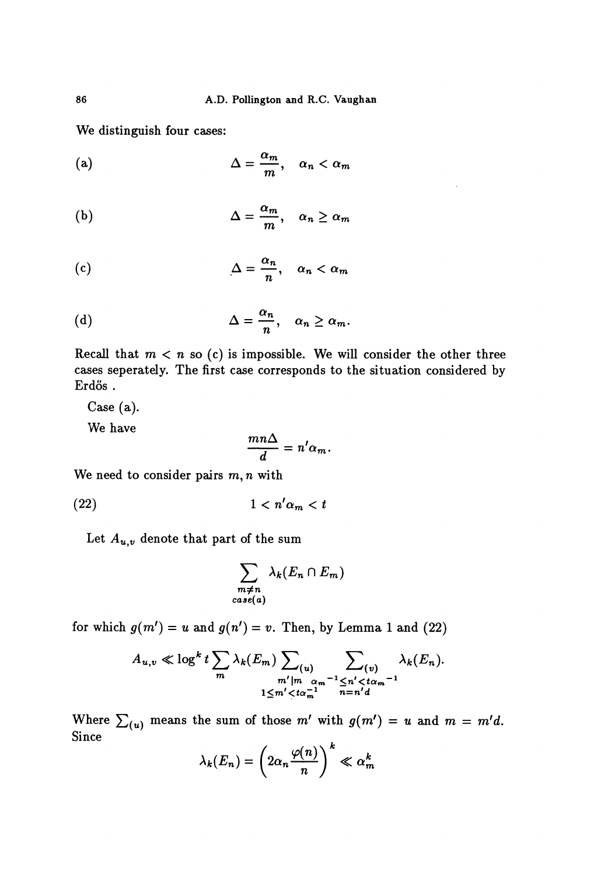We distinguish four cases:

(a) 
$$
\Delta = \frac{\alpha_m}{m}, \quad \alpha_n < \alpha_m
$$

(b) 
$$
\Delta = \frac{\alpha_m}{m}, \quad \alpha_n \ge \alpha_m
$$

(c) 
$$
\Delta = \frac{\alpha_n}{n}, \quad \alpha_n < \alpha_m
$$

(d) 
$$
\Delta = \frac{\alpha_n}{n}, \quad \alpha_n \ge \alpha_m.
$$

Recall that  $m < n$  so (c) is impossible. We will consider the other three cases seperately. The first case corresponds to the situation considered by Erdős.

Case (a).

We have

$$
\frac{mn\Delta}{d}=n'\alpha_m.
$$

We need to consider pairs  $m, n$  with

 $(22)$  $1 < n' \alpha_m < t$ 

Let  $A_{u,v}$  denote that part of the sum

$$
\sum_{\substack{m \neq n \\ \text{case}(a)}} \lambda_k(E_n \cap E_m)
$$

for which  $g(m') = u$  and  $g(n') = v$ . Then, by Lemma 1 and (22)

$$
A_{u,v} \ll \log^k t \sum_m \lambda_k(E_m) \sum_{\substack{(u) \atop m'|m \ \alpha_m^{-1} \leq n' < t\alpha_m^{-1} \\ 1 \leq m' < t\alpha_m^{-1}}} \sum_{\substack{(v) \atop n \equiv n' d}} \lambda_k(E_n).
$$

Where  $\sum_{(u)}$  means the sum of those m' with  $g(m') = u$  and  $m = m'd$ .<br>Since  $Since$ 

$$
\lambda_k(E_n) = \left(2\alpha_n \frac{\varphi(n)}{n}\right)^k \ll \alpha_m^k
$$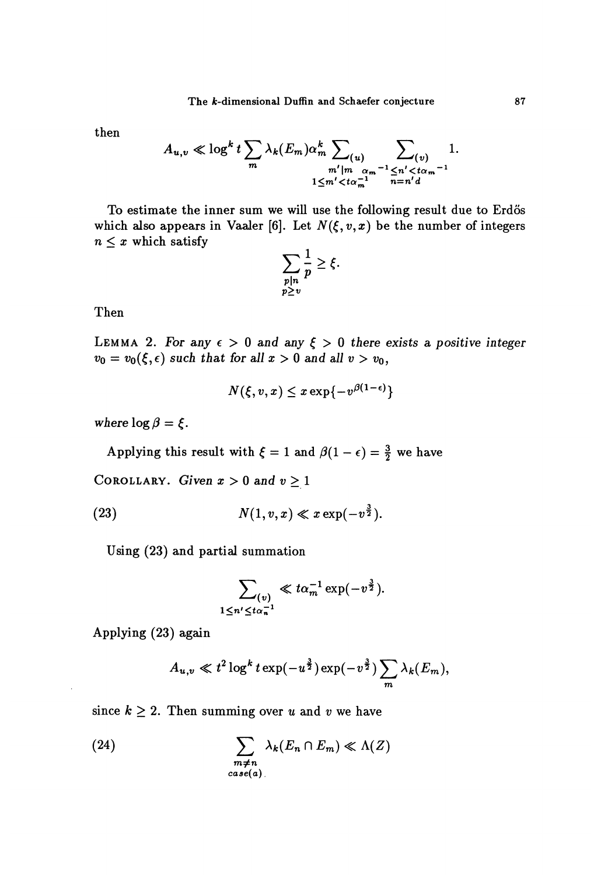then

$$
A_{u,v} \ll \log^k t \sum_m \lambda_k (E_m) \alpha_m^k \sum_{\substack{(u) \atop m'|m \ \alpha_m^{-1} \leq n' < t \alpha_m^{-1}}} \sum_{\substack{(v) \atop n \equiv n' d}} 1.
$$

To estimate the inner sum we will use the following result due to Erdős which also appears in Vaaler [6]. Let  $N(\xi, v, x)$  be the number of integers  $n \leq x$  which satisfy

$$
\sum_{\substack{p|n\\p\geq v}}\frac{1}{p}\geq \xi
$$

Then

LEMMA 2. For any  $\epsilon > 0$  and any  $\xi > 0$  there exists a positive integer  $v_0 = v_0(\xi, \epsilon)$  such that for all  $x > 0$  and all  $v > v_0$ ,

$$
N(\xi,v,x)\leq x\exp\{-v^{\beta(1-\epsilon)}\}
$$

where  $\log \beta = \xi$ .

Applying this result with  $\xi = 1$  and  $\beta(1 - \epsilon) = \frac{3}{2}$  we have

COROLLARY. Given  $x > 0$  and  $v \ge 1$ 

$$
(23) \t\t N(1,v,x) \ll x \exp(-v^{\frac{3}{2}}).
$$

Using (23) and partial summation

 $\mathbf{1}$ 

$$
\sum_{\substack{(v) \le t\alpha_n^{-1}}} \ll t\alpha_m^{-1} \exp(-v^{\frac{3}{2}}).
$$

Applying (23) again

$$
A_{u,v} \ll t^2 \log^k t \exp(-u^{\frac{3}{2}}) \exp(-v^{\frac{3}{2}}) \sum_m \lambda_k(E_m),
$$

since  $k \geq 2$ . Then summing over u and v we have

(24) 
$$
\sum_{\substack{m \neq n \\ \text{case}(a)}} \lambda_k(E_n \cap E_m) \ll \Lambda(Z)
$$